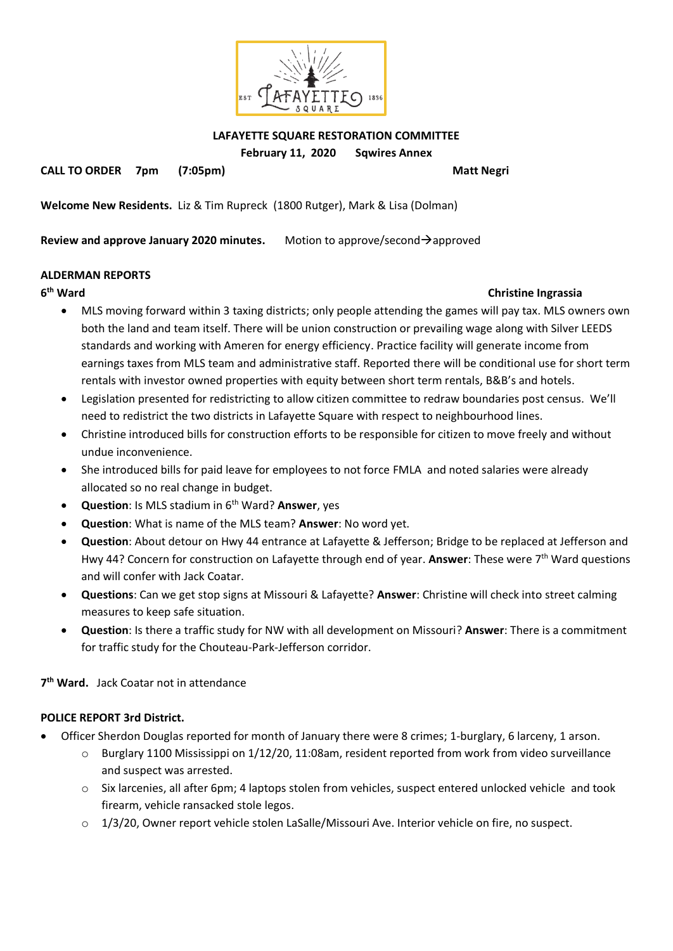

**LAFAYETTE SQUARE RESTORATION COMMITTEE**

**February 11, 2020 Sqwires Annex**

**CALL TO ORDER 7pm (7:05pm) Matt Negri**

**Welcome New Residents.** Liz & Tim Rupreck (1800 Rutger), Mark & Lisa (Dolman)

**Review and approve January 2020 minutes.** Motion to approve/second→approved

### **ALDERMAN REPORTS**

**6**

### **Christine Ingrassia**

- MLS moving forward within 3 taxing districts; only people attending the games will pay tax. MLS owners own both the land and team itself. There will be union construction or prevailing wage along with Silver LEEDS standards and working with Ameren for energy efficiency. Practice facility will generate income from earnings taxes from MLS team and administrative staff. Reported there will be conditional use for short term rentals with investor owned properties with equity between short term rentals, B&B's and hotels.
- Legislation presented for redistricting to allow citizen committee to redraw boundaries post census. We'll need to redistrict the two districts in Lafayette Square with respect to neighbourhood lines.
- Christine introduced bills for construction efforts to be responsible for citizen to move freely and without undue inconvenience.
- She introduced bills for paid leave for employees to not force FMLA and noted salaries were already allocated so no real change in budget.
- **Question**: Is MLS stadium in 6th Ward? **Answer**, yes
- **Question**: What is name of the MLS team? **Answer**: No word yet.
- **Question**: About detour on Hwy 44 entrance at Lafayette & Jefferson; Bridge to be replaced at Jefferson and Hwy 44? Concern for construction on Lafayette through end of year. **Answer**: These were 7th Ward questions and will confer with Jack Coatar.
- **Questions**: Can we get stop signs at Missouri & Lafayette? **Answer**: Christine will check into street calming measures to keep safe situation.
- **Question**: Is there a traffic study for NW with all development on Missouri? **Answer**: There is a commitment for traffic study for the Chouteau-Park-Jefferson corridor.

**7 th Ward.** Jack Coatar not in attendance

# **POLICE REPORT 3rd District.**

- Officer Sherdon Douglas reported for month of January there were 8 crimes; 1-burglary, 6 larceny, 1 arson.
	- $\circ$  Burglary 1100 Mississippi on 1/12/20, 11:08am, resident reported from work from video surveillance and suspect was arrested.
	- $\circ$  Six larcenies, all after 6pm; 4 laptops stolen from vehicles, suspect entered unlocked vehicle and took firearm, vehicle ransacked stole legos.
	- o 1/3/20, Owner report vehicle stolen LaSalle/Missouri Ave. Interior vehicle on fire, no suspect.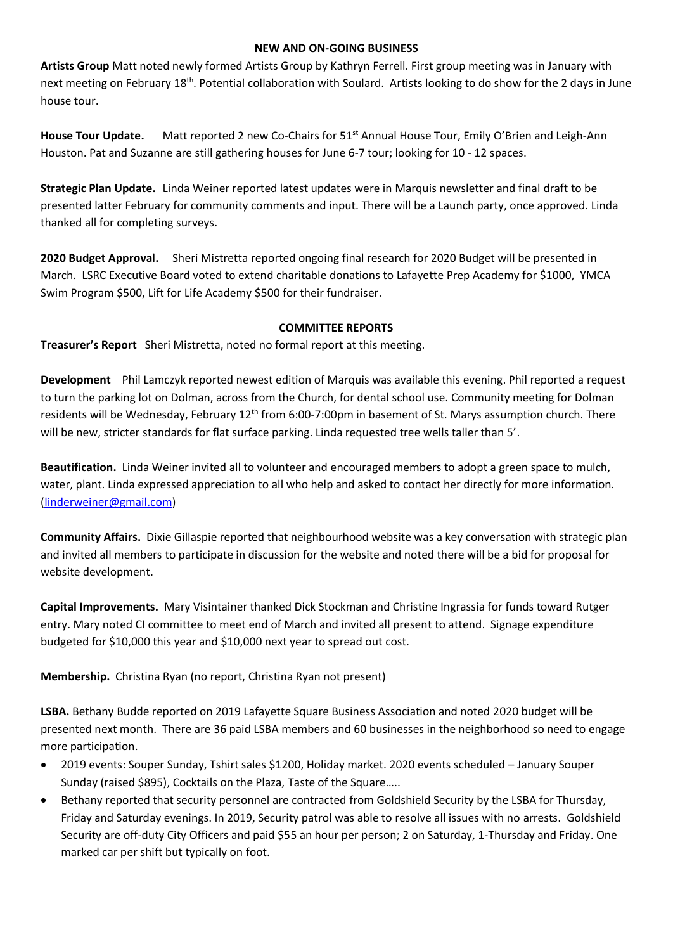#### **NEW AND ON-GOING BUSINESS**

**Artists Group** Matt noted newly formed Artists Group by Kathryn Ferrell. First group meeting was in January with next meeting on February 18<sup>th</sup>. Potential collaboration with Soulard. Artists looking to do show for the 2 days in June house tour.

House Tour Update. Matt reported 2 new Co-Chairs for 51<sup>st</sup> Annual House Tour, Emily O'Brien and Leigh-Ann Houston. Pat and Suzanne are still gathering houses for June 6-7 tour; looking for 10 - 12 spaces.

**Strategic Plan Update.** Linda Weiner reported latest updates were in Marquis newsletter and final draft to be presented latter February for community comments and input. There will be a Launch party, once approved. Linda thanked all for completing surveys.

**2020 Budget Approval.** Sheri Mistretta reported ongoing final research for 2020 Budget will be presented in March. LSRC Executive Board voted to extend charitable donations to Lafayette Prep Academy for \$1000, YMCA Swim Program \$500, Lift for Life Academy \$500 for their fundraiser.

## **COMMITTEE REPORTS**

**Treasurer's Report** Sheri Mistretta, noted no formal report at this meeting.

**Development** Phil Lamczyk reported newest edition of Marquis was available this evening. Phil reported a request to turn the parking lot on Dolman, across from the Church, for dental school use. Community meeting for Dolman residents will be Wednesday, February 12<sup>th</sup> from 6:00-7:00pm in basement of St. Marys assumption church. There will be new, stricter standards for flat surface parking. Linda requested tree wells taller than 5'.

**Beautification.** Linda Weiner invited all to volunteer and encouraged members to adopt a green space to mulch, water, plant. Linda expressed appreciation to all who help and asked to contact her directly for more information. [\(linderweiner@gmail.com\)](mailto:linderweiner@gmail.com)

**Community Affairs.** Dixie Gillaspie reported that neighbourhood website was a key conversation with strategic plan and invited all members to participate in discussion for the website and noted there will be a bid for proposal for website development.

**Capital Improvements.** Mary Visintainer thanked Dick Stockman and Christine Ingrassia for funds toward Rutger entry. Mary noted CI committee to meet end of March and invited all present to attend. Signage expenditure budgeted for \$10,000 this year and \$10,000 next year to spread out cost.

**Membership.** Christina Ryan (no report, Christina Ryan not present)

**LSBA.** Bethany Budde reported on 2019 Lafayette Square Business Association and noted 2020 budget will be presented next month. There are 36 paid LSBA members and 60 businesses in the neighborhood so need to engage more participation.

- 2019 events: Souper Sunday, Tshirt sales \$1200, Holiday market. 2020 events scheduled January Souper Sunday (raised \$895), Cocktails on the Plaza, Taste of the Square…..
- Bethany reported that security personnel are contracted from Goldshield Security by the LSBA for Thursday, Friday and Saturday evenings. In 2019, Security patrol was able to resolve all issues with no arrests. Goldshield Security are off-duty City Officers and paid \$55 an hour per person; 2 on Saturday, 1-Thursday and Friday. One marked car per shift but typically on foot.